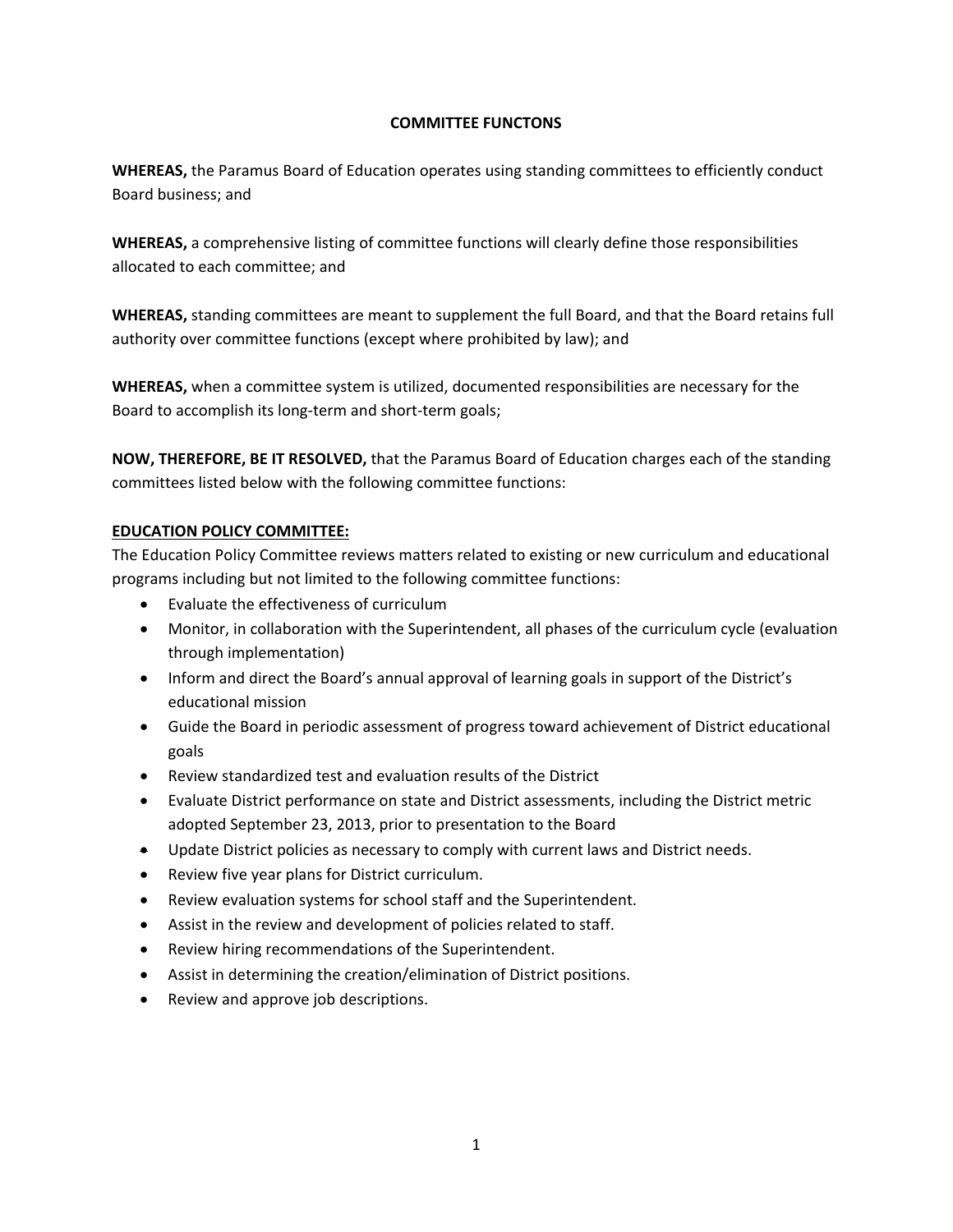#### **COMMITTEE FUNCTONS**

**WHEREAS,** the Paramus Board of Education operates using standing committees to efficiently conduct Board business; and

**WHEREAS,** a comprehensive listing of committee functions will clearly define those responsibilities allocated to each committee; and

**WHEREAS,** standing committees are meant to supplement the full Board, and that the Board retains full authority over committee functions (except where prohibited by law); and

**WHEREAS,** when a committee system is utilized, documented responsibilities are necessary for the Board to accomplish its long-term and short-term goals;

**NOW, THEREFORE, BE IT RESOLVED,** that the Paramus Board of Education charges each of the standing committees listed below with the following committee functions:

### **EDUCATION POLICY COMMITTEE:**

The Education Policy Committee reviews matters related to existing or new curriculum and educational programs including but not limited to the following committee functions:

- Evaluate the effectiveness of curriculum
- Monitor, in collaboration with the Superintendent, all phases of the curriculum cycle (evaluation through implementation)
- Inform and direct the Board's annual approval of learning goals in support of the District's educational mission
- Guide the Board in periodic assessment of progress toward achievement of District educational goals
- Review standardized test and evaluation results of the District
- Evaluate District performance on state and District assessments, including the District metric adopted September 23, 2013, prior to presentation to the Board
- Update District policies as necessary to comply with current laws and District needs.
- Review five year plans for District curriculum.
- Review evaluation systems for school staff and the Superintendent.
- Assist in the review and development of policies related to staff.
- Review hiring recommendations of the Superintendent.
- Assist in determining the creation/elimination of District positions.
- Review and approve job descriptions.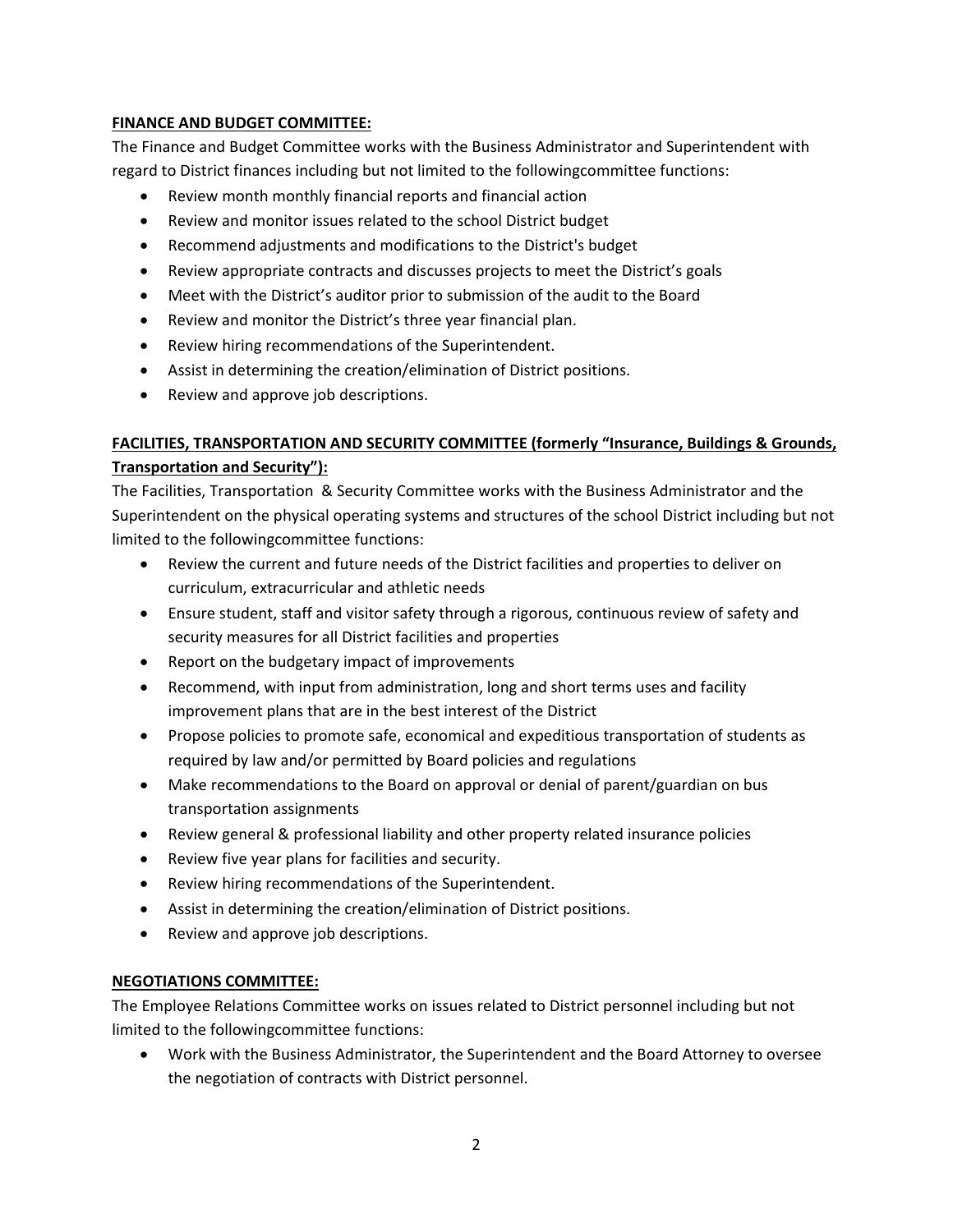### **FINANCE AND BUDGET COMMITTEE:**

The Finance and Budget Committee works with the Business Administrator and Superintendent with regard to District finances including but not limited to the followingcommittee functions:

- Review month monthly financial reports and financial action
- Review and monitor issues related to the school District budget
- Recommend adjustments and modifications to the District's budget
- Review appropriate contracts and discusses projects to meet the District's goals
- Meet with the District's auditor prior to submission of the audit to the Board
- Review and monitor the District's three year financial plan.
- Review hiring recommendations of the Superintendent.
- Assist in determining the creation/elimination of District positions.
- Review and approve job descriptions.

# **FACILITIES, TRANSPORTATION AND SECURITY COMMITTEE (formerly "Insurance, Buildings & Grounds, Transportation and Security"):**

The Facilities, Transportation & Security Committee works with the Business Administrator and the Superintendent on the physical operating systems and structures of the school District including but not limited to the followingcommittee functions:

- Review the current and future needs of the District facilities and properties to deliver on curriculum, extracurricular and athletic needs
- Ensure student, staff and visitor safety through a rigorous, continuous review of safety and security measures for all District facilities and properties
- Report on the budgetary impact of improvements
- Recommend, with input from administration, long and short terms uses and facility improvement plans that are in the best interest of the District
- Propose policies to promote safe, economical and expeditious transportation of students as required by law and/or permitted by Board policies and regulations
- Make recommendations to the Board on approval or denial of parent/guardian on bus transportation assignments
- Review general & professional liability and other property related insurance policies
- Review five year plans for facilities and security.
- Review hiring recommendations of the Superintendent.
- Assist in determining the creation/elimination of District positions.
- Review and approve job descriptions.

### **NEGOTIATIONS COMMITTEE:**

The Employee Relations Committee works on issues related to District personnel including but not limited to the followingcommittee functions:

• Work with the Business Administrator, the Superintendent and the Board Attorney to oversee the negotiation of contracts with District personnel.